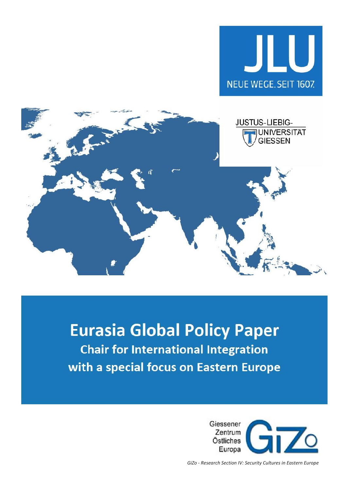



# **Eurasia Global Policy Paper Chair for International Integration** with a special focus on Eastern Europe



*GiZo - Research Section IV: Security Cultures in Eastern Europe*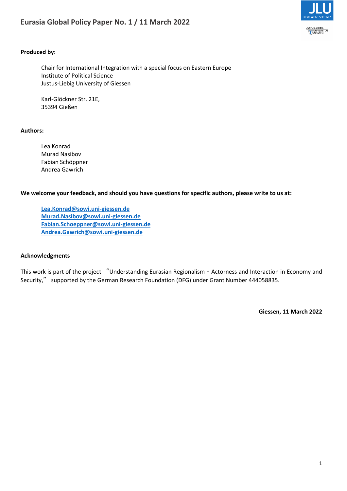

# **Produced by:**

Chair for International Integration with a special focus on Eastern Europe Institute of Political Science Justus-Liebig University of Giessen

Karl-Glöckner Str. 21E, 35394 Gießen

### **Authors:**

Lea Konrad Murad Nasibov Fabian Schöppner Andrea Gawrich

**We welcome your feedback, and should you have questions for specific authors, please write to us at:**

**[Lea.Konrad@sowi.uni-giessen.de](mailto:Lea.Konrad@sowi.uni-giessen.de) [Murad.Nasibov@sowi.uni-giessen.de](mailto:Murad.Nasibov@sowi.uni-giessen.de) [Fabian.Schoeppner@sowi.uni-giessen.de](mailto:Fabian.Schoeppner@sowi.uni-giessen.de) [Andrea.Gawrich@sowi.uni-giessen.de](mailto:Andrea.Gawrich@sowi.uni-giessen.de)**

### **Acknowledgments**

This work is part of the project "Understanding Eurasian Regionalism – Actorness and Interaction in Economy and Security," supported by the German Research Foundation (DFG) under Grant Number 444058835.

**Giessen, 11 March 2022**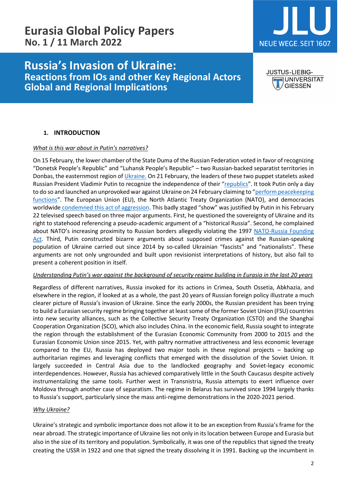# **Russia's Invasion of Ukraine: Reactions from IOs and other Key Regional Actors Global and Regional Implications**

# **NEUE WEGE, SEIT 1607.**

**JUSTUS-LIEBIG-JUNIVERSITAT GIESSEN** 

# **1. INTRODUCTION**

# *What is this war about in Putin's narratives?*

On 15 February, the lower chamber of the State Duma of the Russian Federation voted in favor of recognizing "Donetsk People's Republic" and "Luhansk People's Republic" – two Russian-backed separatist territories in Donbas, the easternmost region o[f Ukraine.](https://www.rferl.org/a/russia-luhansk-donetsk-duma-recognition/31704804.html) On 21 February, the leaders of these two puppet statelets asked Russian President Vladimir Putin to recognize the independence of their "[republics](https://tass.com/world/1407325?utm_source=google.com&utm_medium=organic&utm_campaign=google.com&utm_referrer=google.com)". It took Putin only a day to do so and launched an unprovoked war against Ukraine on 24 February claiming to "[perform peacekeeping](https://www.reuters.com/world/europe/putin-orders-russian-peacekeepers-eastern-ukraines-two-breakaway-regions-2022-02-21/)  [functions](https://www.reuters.com/world/europe/putin-orders-russian-peacekeepers-eastern-ukraines-two-breakaway-regions-2022-02-21/)". The European Union (EU), the North Atlantic Treaty Organization (NATO), and democracies worldwide condemned this act of aggression. This badly staged "show" was justified by Putin in his February 22 televised speech based on three major arguments. First, he questioned the sovereignty of Ukraine and its right to statehood referencing a pseudo-academic argument of a "historical Russia". Second, he complained about NATO's increasing proximity to Russian borders allegedly violating the 1997 [NATO-Russia Founding](https://www.nato.int/nrc-website/media/59451/1997_nato_russia_founding_act.pdf)  [Act.](https://www.nato.int/nrc-website/media/59451/1997_nato_russia_founding_act.pdf) Third, Putin constructed bizarre arguments about supposed crimes against the Russian-speaking population of Ukraine carried out since 2014 by so-called Ukrainian "fascists" and "nationalists". These arguments are not only ungrounded and built upon revisionist interpretations of history, but also fail to present a coherent position in itself.

# *Understanding Putin's war against the background of security regime building in Eurasia in the last 20 years*

Regardless of different narratives, Russia invoked for its actions in Crimea, South Ossetia, Abkhazia, and elsewhere in the region, if looked at as a whole, the past 20 years of Russian foreign policy illustrate a much clearer picture of Russia's invasion of Ukraine. Since the early 2000s, the Russian president has been trying to build a Eurasian security regime bringing together at least some of the former Soviet Union (FSU) countries into new security alliances, such as the Collective Security Treaty Organization (CSTO) and the Shanghai Cooperation Organization (SCO), which also includes China. In the economic field, Russia sought to integrate the region through the establishment of the Eurasian Economic Community from 2000 to 2015 and the Eurasian Economic Union since 2015. Yet, with paltry normative attractiveness and less economic leverage compared to the EU, Russia has deployed two major tools in these regional projects – backing up authoritarian regimes and leveraging conflicts that emerged with the dissolution of the Soviet Union. It largely succeeded in Central Asia due to the landlocked geography and Soviet-legacy economic interdependences. However, Russia has achieved comparatively little in the South Caucasus despite actively instrumentalizing the same tools. Further west in Transnistria, Russia attempts to exert influence over Moldova through another case of separatism. The regime in Belarus has survived since 1994 largely thanks to Russia's support, particularly since the mass anti-regime demonstrations in the 2020-2021 period.

# *Why Ukraine?*

Ukraine's strategic and symbolic importance does not allow it to be an exception from Russia's frame for the near abroad. The strategic importance of Ukraine lies not only in its location between Europe and Eurasia but also in the size of its territory and population. Symbolically, it was one of the republics that signed the treaty creating the USSR in 1922 and one that signed the treaty dissolving it in 1991. Backing up the incumbent in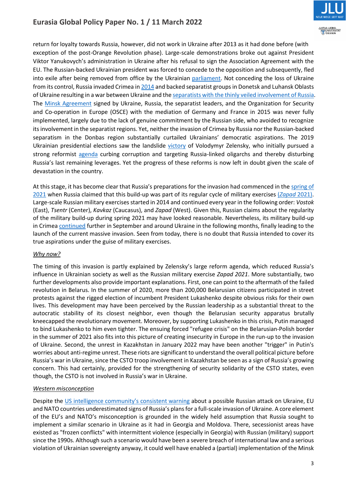

return for loyalty towards Russia, however, did not work in Ukraine after 2013 as it had done before (with exception of the post-Orange Revolution phase). Large-scale demonstrations broke out against President Viktor Yanukovych's administration in Ukraine after his refusal to sign the Association Agreement with the EU. The Russian-backed Ukrainian president was forced to concede to the opposition and subsequently, fled into exile after being removed from office by the Ukrainian [parliament.](https://www.aljazeera.com/news/2014/2/22/ukraine-president-yanukovich-impeached) Not conceding the loss of Ukraine from its control, Russia invaded Crimea i[n 2014](https://www.theguardian.com/world/2014/feb/28/russia-crimea-white-house) and backed separatist groups in Donetsk and Luhansk Oblasts of Ukraine resulting in a war between Ukraine and th[e separatists](https://www.reuters.com/article/us-ukraine-crisis-arms-specialreport-idUSKBN0FY0UA20140729) with the thinly veiled involvement of Russia. The [Minsk Agreement](https://edition.cnn.com/2022/02/09/europe/minsk-agreement-ukraine-russia-explainer-intl/index.html) signed by Ukraine, Russia, the separatist leaders, and the Organization for Security and Co-operation in Europe (OSCE) with the mediation of Germany and France in 2015 was never fully implemented, largely due to the lack of genuine commitment by the Russian side, who avoided to recognize its involvement in the separatist regions. Yet, neither the invasion of Crimea by Russia nor the Russian-backed separatism in the Donbas region substantially curtailed Ukrainians' democratic aspirations. The 2019 Ukrainian presidential elections saw the landslide [victory](https://www.bbc.com/news/world-europe-48007487) of Volodymyr Zelensky, who initially pursued a strong reformist [agenda](https://www.rferl.org/a/zelenskiy-medvedchuk-ukraine-sanctions-media/31133538.html#:~:text=A%20television%20star%20and%20comedian%20with%20no%20political,has%20killed%20more%20than%2013%2C000%20people%20since%202014.) curbing corruption and targeting Russia-linked oligarchs and thereby disturbing Russia's last remaining leverages. Yet the progress of these reforms is now left in doubt given the scale of devastation in the country.

At this stage, it has become clear that Russia's preparations for the invasion had commenced in the spring of [2021](https://ecfr.eu/publication/waves-of-ambition-russias-military-build-up-in-crimea-and-the-black-sea/) when Russia claimed that this build-up was part of its regular cycle of military exercises (*[Zapad](https://crsreports.congress.gov/product/pdf/IF/IF11938)* 2021). Large-scale Russian military exercises started in 2014 and continued every year in the following order: *Vostok* (East), *Tsentr* (Center), *Kavkaz* (Caucasus), and *Zapad* (West). Given this, Russian claims about the regularity of the military build-up during spring 2021 may have looked reasonable. Nevertheless, its military build-up in Crime[a continued](https://www.csis.org/analysis/moscows-continuing-ukrainian-buildup) further in September and around Ukraine in the following months, finally leading to the launch of the current massive invasion. Seen from today, there is no doubt that Russia intended to cover its true aspirations under the guise of military exercises.

# *Why now?*

The timing of this invasion is partly explained by Zelensky's large reform agenda, which reduced Russia's influence in Ukrainian society as well as the Russian military exercise *Zapad 2021*. More substantially, two further developments also provide important explanations. First, one can point to the aftermath of the failed revolution in Belarus. In the summer of 2020, more than 200,000 Belarusian citizens participated in street protests against the rigged election of incumbent President Lukashenko despite obvious risks for their own lives. This development may have been perceived by the Russian leadership as a substantial threat to the autocratic stability of its closest neighbor, even though the Belarusian security apparatus brutally kneecapped the revolutionary movement. Moreover, by supporting Lukashenko in this crisis, Putin managed to bind Lukashenko to him even tighter. The ensuing forced "refugee crisis" on the Belarusian-Polish border in the summer of 2021 also fits into this picture of creating insecurity in Europe in the run-up to the invasion of Ukraine. Second, the unrest in Kazakhstan in January 2022 may have been another "trigger" in Putin's worries about anti-regime unrest. These riots are significant to understand the overall political picture before Russia's war in Ukraine, since the CSTO troop involvement in Kazakhstan be seen as a sign of Russia's growing concern. This had certainly, provided for the strengthening of security solidarity of the CSTO states, even though, the CSTO is not involved in Russia's war in Ukraine.

# *Western misconception*

Despite the [US intelligence community's consistent warning](https://www.nytimes.com/2021/11/19/us/politics/russia-ukraine-biden-administration.html) about a possible Russian attack on Ukraine, EU and NATO countries underestimated signs of Russia's plans for a full-scale invasion of Ukraine. A core element of the EU's and NATO's misconception is grounded in the widely held assumption that Russia sought to implement a similar scenario in Ukraine as it had in Georgia and Moldova. There, secessionist areas have existed as "frozen conflicts" with intermittent violence (especially in Georgia) with Russian (military) support since the 1990s. Although such a scenario would have been a severe breach of international law and a serious violation of Ukrainian sovereignty anyway, it could well have enabled a (partial) implementation of the Minsk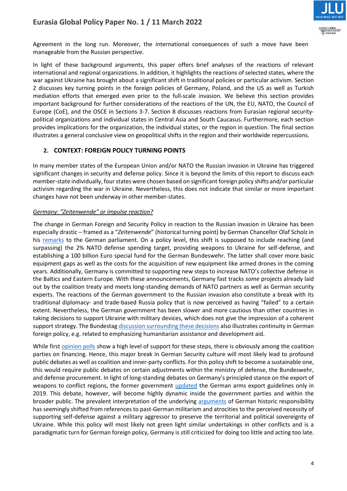

Agreement in the long run. Moreover, the international consequences of such a move have been manageable from the Russian perspective.

In light of these background arguments, this paper offers brief analyses of the reactions of relevant international and regional organizations. In addition, it highlights the reactions of selected states, where the war against Ukraine has brought about a significant shift in traditional policies or particular activism. Section 2 discusses key turning points in the foreign policies of Germany, Poland, and the US as well as Turkish mediation efforts that emerged even prior to the full-scale invasion. We believe this section provides important background for further considerations of the reactions of the UN, the EU, NATO, the Council of Europe (CoE), and the OSCE in Sections 3-7. Section 8 discusses reactions from Eurasian regional securitypolitical organizations and individual states in Central Asia and South Caucasus. Furthermore, each section provides implications for the organization, the individual states, or the region in question. The final section illustrates a general conclusive view on geopolitical shifts in the region and their worldwide repercussions.

# **2. CONTEXT: FOREIGN POLICY TURNING POINTS**

In many member states of the European Union and/or NATO the Russian invasion in Ukraine has triggered significant changes in security and defense policy. Since it is beyond the limits of this report to discuss each member-state individually, four states were chosen based on significant foreign policy shifts and/or particular activism regarding the war in Ukraine. Nevertheless, this does not indicate that similar or more important changes have not been underway in other member-states.

# *Germany: "Zeitenwende" or impulse reaction?*

The change in German Foreign and Security Policy in reaction to the Russian invasion in Ukraine has been especially drastic – framed as a "*Zeitenwende*" (historical turning point) by German Chancellor Olaf Scholz in his [remarks](https://www.zeit.de/politik/deutschland/2022-02/olaf-scholz-regierungserklaerung-ukraine-rede) to the German parliament. On a policy level, this shift is supposed to include reaching (and surpassing) the 2% NATO defense spending target, providing weapons to Ukraine for self-defense, and establishing a 100 billion Euro special fund for the German Bundeswehr. The latter shall cover more basic equipment gaps as well as the costs for the acquisition of new equipment like armed drones in the coming years. Additionally, Germany is committed to supporting new steps to increase NATO's collective defense in the Baltics and Eastern Europe. With these announcements, Germany fast tracks *some* projects already laid out by the coalition treaty and meets long-standing demands of NATO partners as well as German security experts. The reactions of the German government to the Russian invasion also constitute a break with its traditional diplomacy- and trade-based Russia policy that is now perceived as having "failed" to a certain extent. Nevertheless, the German government has been slower and more cautious than other countries in taking decisions to support Ukraine with military devices, which does not give the impression of a coherent support strategy. The Bundesta[g discussion s](https://www.bundestag.de/dokumente/textarchiv/2022/kw08-sondersitzung-882198)urrounding these decisions also illustrates continuity in German foreign policy, e.g. related to emphasizing humanitarian assistance and development aid.

While first [opinion polls](https://www.tagesschau.de/inland/deutschlandtrend/deutschlandtrend-2925.html) show a high level of support for these steps, there is obviously among the coalition parties on financing. Hence, this major break in German Security culture will most likely lead to profound public debates as well as coalition and inner-party conflicts. For this policy shift to become a sustainable one, this would require public debates on certain adjustments within the ministry of defense, the Bundeswehr, and defense procurement. In light of long-standing debates on Germany's principled stance on the export of weapons to conflict regions, the former government [updated](https://www.tagesschau.de/inland/ruestungsexporte-deutschland-107.html) the German arms export guidelines only in 2019. This debate, however, will become highly dynamic inside the government parties and within the broader public. The prevalent interpretation of the underlying [arguments](https://www.dw.com/en/why-germany-refuses-weapons-deliveries-to-ukraine/a-60483231) of German historic responsibility has seemingly shifted from references to past-German militarism and atrocities to the perceived necessity of supporting self-defense against a military aggressor to preserve the territorial and political sovereignty of Ukraine. While this policy will most likely not green light similar undertakings in other conflicts and is a paradigmatic turn for German foreign policy, Germany is still criticized for doing too little and acting too late.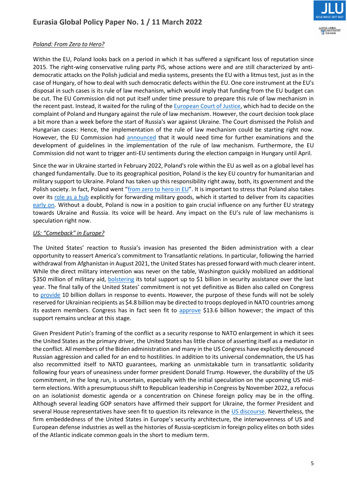



# *Poland: From Zero to Hero?*

Within the EU, Poland looks back on a period in which it has suffered a significant loss of reputation since 2015. The right-wing conservative ruling party PiS, whose actions were and are still characterized by antidemocratic attacks on the Polish judicial and media systems, presents the EU with a litmus test, just as in the case of Hungary, of how to deal with such democratic defects within the EU. One core instrument at the EU's disposal in such cases is its rule of law mechanism, which would imply that funding from the EU budget can be cut. The EU Commission did not put itself under time pressure to prepare this rule of law mechanism in the recent past. Instead, it waited for the ruling of th[e European Court of Justice,](https://www.spiegel.de/ausland/eugh-klage-von-polen-und-ungarn-gegen-rechtsstaatsmechanismus-abgewiesen-a-7b427c99-26fd-437d-8b3c-18a4f06f21e6) which had to decide on the complaint of Poland and Hungary against the rule of law mechanism. However, the court decision took place a bit more than a week before the start of Russia's war against Ukraine. The Court dismissed the Polish and Hungarian cases: Hence, the implementation of the rule of law mechanism could be starting right now. However, the EU Commission had [announced](https://www.spiegel.de/ausland/eugh-klage-von-polen-und-ungarn-gegen-rechtsstaatsmechanismus-abgewiesen-a-7b427c99-26fd-437d-8b3c-18a4f06f21e6) that it would need time for further examinations and the development of guidelines in the implementation of the rule of law mechanism. Furthermore, the EU Commission did not want to trigger anti-EU sentiments during the election campaign in Hungary until April.

Since the war in Ukraine started in February 2022, Poland's role within the EU as well as on a global level has changed fundamentally. Due to its geographical position, Poland is the key EU country for humanitarian and military support to Ukraine. Poland has taken up this responsibility right away, both, its government and the Polish society. In fact, Poland went "[from zero to hero in EU](https://www.politico.eu/article/poland-goes-from-zero-to-hero-in-eu-thanks-to-ukraine-effort/)". It is important to stress that Poland also takes over its [role as a hub](https://www.thefirstnews.com/article/eu-foreign-policy-chief-thanks-poland-for-hub-role-in-ukraine-crisis-28255) explicitly for forwarding military goods, which it started to deliver from its capacities [early](https://guardian.ng/news/russia-invasion-ukraine-gets-first-military-aid-from-poland/) on. Without a doubt, Poland is now in a position to gain crucial influence on any further EU strategy towards Ukraine and Russia. Its voice will be heard. Any impact on the EU's rule of law mechanisms is speculation right now.

# *US: "Comeback" in Europe?*

The United States' reaction to Russia's invasion has presented the Biden administration with a clear opportunity to reassert America's commitment to Transatlantic relations. In particular, following the harried withdrawal from Afghanistan in August 2021, the United States has pressed forward with much clearer intent. While the direct military intervention was never on the table, Washington quickly mobilized an additional \$350 million of military aid, [bolstering](https://www.washingtonpost.com/nation/2022/02/26/biden-ukraine-military-aid-package/) its total support up to \$1 billion in security assistance over the last year. The final tally of the United States' commitment is not yet definitive as Biden also called on Congress to [provide](https://www.defensenews.com/congress/2022/03/03/white-house-seeks-new-10b-ukraine-fund-with-half-for-pentagon/) 10 billion dollars in response to events. However, the purpose of these funds will not be solely reserved for Ukrainian recipients as \$4.8 billion may be directed to troops deployed in NATO countries among its eastern members. Congress has in fact seen fit to [approve](https://www.defensenews.com/congress/2022/03/09/bidens-ukraine-aid-package-is-getting-super-sized-by-congress/) \$13.6 billion however; the impact of this support remains unclear at this stage.

Given President Putin's framing of the conflict as a security response to NATO enlargement in which it sees the United States as the primary driver, the United States has little chance of asserting itself as a mediator in the conflict. All members of the Biden administration and many in the US Congress have explicitly denounced Russian aggression and called for an end to hostilities. In addition to its universal condemnation, the US has also recommitted itself to NATO guarantees, marking an unmistakable turn in transatlantic solidarity following four years of uneasiness under former president Donald Trump. However, the durability of the US commitment, in the long run, is uncertain, especially with the initial speculation on the upcoming US midterm elections. With a presumptuous shift to Republican leadership in Congress by November 2022, a refocus on an isolationist domestic agenda or a concentration on Chinese foreign policy may be in the offing. Although several leading GOP senators have affirmed their support for Ukraine, the former President and several House representatives have seen fit to question its relevance in the [US discourse.](https://www.nytimes.com/2022/03/09/us/politics/republicans-ukraine.html) Nevertheless, the firm embeddedness of the United States in Europe's security architecture, the interwovenness of US and European defense industries as well as the histories of Russia-scepticism in foreign policy elites on both sides of the Atlantic indicate common goals in the short to medium term.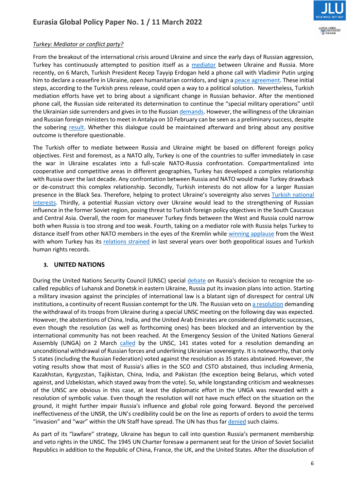

# *Turkey: Mediator or conflict party?*

From the breakout of the international crisis around Ukraine and since the early days of Russian aggression, Turkey has continuously attempted to position itself as a [mediator](https://www.rferl.org/a/erdogan-mediation-russia-ukraine/31585423.html) between Ukraine and Russia. More recently, on 6 March, Turkish President Recep Tayyip Erdogan held a phone call with Vladimir Putin urging him to declare a ceasefire in Ukraine, open humanitarian corridors, and sign [a peace agreement.](https://www.businesstoday.in/latest/world/story/turkeys-erdogan-urges-putin-to-declare-ceasefire-in-ukraine-sign-peace-agreement-324937-2022-03-06) These initial steps, according to the Turkish press release, could open a way to a political solution. Nevertheless, Turkish mediation efforts have yet to bring about a significant change in Russian behavior. After the mentioned phone call, the Russian side reiterated its determination to continue the "special military operations" until the Ukrainian side surrenders and gives in to the Russia[n demands.](https://www.sozcu.com.tr/2022/dunya/erdogan-ile-putin-rusya-ukrayna-savasini-gorustu-6992689/amp/) However, the willingness of the Ukrainian and Russian foreign ministers to meet in Antalya on 10 February can be seen as a preliminary success, despite the sobering [result.](https://www.aljazeera.com/news/2022/3/10/top-russia-ukraine-diplomats-arrive-in-turkey-for-talks) Whether this dialogue could be maintained afterward and bring about any positive outcome is therefore questionable.

The Turkish offer to mediate between Russia and Ukraine might be based on different foreign policy objectives. First and foremost, as a NATO ally, Turkey is one of the countries to suffer immediately in case the war in Ukraine escalates into a full-scale NATO-Russia confrontation. Compartmentalized into cooperative and competitive areas in different geographies, Turkey has developed a complex relationship with Russia over the last decade. Any confrontation between Russia and NATO would make Turkey drawback or de-construct this complex relationship. Secondly, Turkish interests do not allow for a larger Russian presence in the Black Sea. Therefore, helping to protect Ukraine's sovereignty also serves [Turkish national](https://www.middleeastmonitor.com/20211029-turkey-ukraine-cooperation-vital-for-black-sea-security-says-minister/)  [interests.](https://www.middleeastmonitor.com/20211029-turkey-ukraine-cooperation-vital-for-black-sea-security-says-minister/) Thirdly, a potential Russian victory over Ukraine would lead to the strengthening of Russian influence in the former Soviet region, posing threat to Turkish foreign policy objectives in the South Caucasus and Central Asia. Overall, the room for maneuver Turkey finds between the West and Russia could narrow both when Russia is too strong and too weak. Fourth, taking on a mediator role with Russia helps Turkey to distance itself from other NATO members in the eyes of the Kremlin while [winning applause](https://www.middleeastmonitor.com/20210421-turkey-and-ukraine-could-each-be-the-foreign-policy-saviour-of-the-other/) from the West with whom Turkey has its [relations strained](https://www.brookings.edu/blog/order-from-chaos/2021/01/29/us-turkey-relations-will-remain-crisis-ridden-for-a-long-time-to-come/) in last several years over both geopolitical issues and Turkish human rights records.

# **3. UNITED NATIONS**

During the United Nations Security Council (UNSC) special [debate](https://www.un.org/press/en/2022/sc14798.doc.htm) on Russia's decision to recognize the socalled republics of Luhansk and Donetsk in eastern Ukraine, Russia put its invasion plans into action. Starting a military invasion against the principles of international law is a blatant sign of disrespect for central UN institutions, a continuity of recent Russian contempt for the UN. The Russian veto o[n a resolution](https://www.un.org/press/en/2022/sc14808.doc.htm) demanding the withdrawal of its troops from Ukraine during a special UNSC meeting on the following day was expected. However, the abstentions of China, India, and the United Arab Emirates are considered diplomatic successes, even though the resolution (as well as forthcoming ones) has been blocked and an intervention by the international community has not been reached. At the Emergency Session of the United Nations General Assembly (UNGA) on 2 March [called](https://www.un.org/press/en/2022/sc14809.doc.htm) by the UNSC, 141 states voted for a resolution demanding an unconditional withdrawal of Russian forces and underlining Ukrainian sovereignty. It is noteworthy, that only 5 states (including the Russian Federation) voted against the resolution as 35 states abstained. However, the voting results show that most of Russia's allies in the SCO and CSTO abstained, thus including Armenia, Kazakhstan, Kyrgyzstan, Tajikistan, China, India, and Pakistan (the exception being Belarus, which voted against, and Uzbekistan, which stayed away from the vote). So, while longstanding criticism and weaknesses of the UNSC are obvious in this case, at least the diplomatic effort in the UNGA was rewarded with a resolution of symbolic value. Even though the resolution will not have much effect on the situation on the ground, it might further impair Russia's influence and global role going forward. Beyond the perceived ineffectiveness of the UNSR, the UN's credibility could be on the line as reports of orders to avoid the terms "invasion" and "war" within the UN Staff have spread. The UN has thus far [denied](https://www.euronews.com/my-europe/2022/03/08/war-in-ukraine-un-denies-banning-staff-from-using-words-war-and-invasion) such claims.

As part of its "lawfare" strategy, Ukraine has begun to call into question Russia's permanent membership and veto rights in the UNSC. The 1945 UN Charter foresaw a permanent seat for the Union of Soviet Socialist Republics in addition to the Republic of China, France, the UK, and the United States. After the dissolution of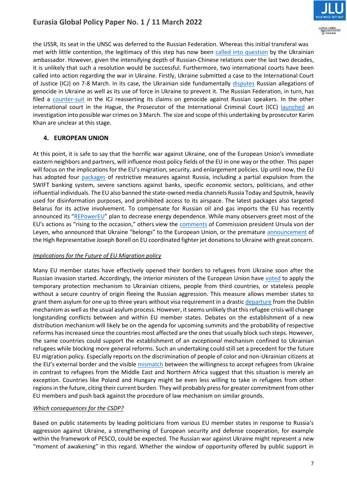

the USSR, its seat in the UNSC was deferred to the Russian Federation. Whereas this initial transferal was met with little contention, the legitimacy of this step has now been [called into question](https://www.theguardian.com/world/2022/feb/25/putin-facing-efforts-isolate-diplomatically-ukraine) by the Ukrainian ambassador. However, given the intensifying depth of Russian-Chinese relations over the last two decades, it is unlikely that such a resolution would be successful. Furthermore, two international courts have been called into action regarding the war in Ukraine. Firstly, Ukraine submitted a case to the International Court of Justice (ICJ) on 7-8 March. In its case, the Ukrainian side fundamentally [disputes](https://www.ejiltalk.org/preventing-genocide-and-the-ukraine-russia-case/) Russian allegations of genocide in Ukraine as well as its use of force in Ukraine to prevent it. The Russian Federation, in turn, has filed a [counter-suit](https://www.ejiltalk.org/russias-submission-to-the-icj-in-the-genocide-case-russias-withdrawal-from-the-council-of-europe/) in the ICJ reasserting its claims on genocide against Russian speakers. In the other international court in the Hague, the Prosecutor of the International Criminal Court (ICC) [launched](https://www.icc-cpi.int/Pages/item.aspx?name=20220228-prosecutor-statement-ukraine) an investigation into possible war crimes on 3 March. The size and scope of this undertaking by prosecutor Karim Khan are unclear at this stage.

# **4. EUROPEAN UNION**

At this point, it is safe to say that the horrific war against Ukraine, one of the European Union's immediate eastern neighbors and partners, will influence most policy fields of the EU in one way or the other. This paper will focus on the implications for the EU's migration, security, and enlargement policies. Up until now, the EU has adopted four [packages](https://www.consilium.europa.eu/en/policies/sanctions/restrictive-measures-ukraine-crisis/) of restrictive measures against Russia, including a partial expulsion from the SWIFT banking system, severe sanctions against banks, specific economic sectors, politicians, and other influential individuals. The EU also banned the state-owned media channels Russia Today and Sputnik, heavily used for disinformation purposes, and prohibited access to its airspace. The latest packages also targeted Belarus for its active involvement. To compensate for Russian oil and gas imports the EU has recently announced its "[REPowerEU](https://ec.europa.eu/commission/presscorner/detail/en/ip_22_1511)" plan to decrease energy dependence. While many observers greet most of the EU's actions as "rising to the occasion," others view the [comments](https://www.politico.eu/article/ukraine-eu-commission-chief-von-der-leyen-invite/) of Commission president Ursula von der Leyen, who announced that Ukraine "belongs" to the European Union, or the premature [announcement](https://www.politico.com/news/2022/02/28/ukrainian-pilots-arrive-in-poland-to-pick-up-donated-fighter-jets-00012560) of the High Representative Joseph Borell on EU coordinated fighter jet donations to Ukraine with great concern.

# *Implications for the Future of EU Migration policy*

Many EU member states have effectively opened their borders to refugees from Ukraine soon after the Russian invasion started. Accordingly, the interior ministers of the European Union have [voted](https://www.consilium.europa.eu/en/press/press-releases/2022/03/04/ukraine-council-introduces-temporary-protection-for-persons-fleeing-the-war/) to apply the temporary protection mechanism to Ukrainian citizens, people from third countries, or stateless people without a secure country of origin fleeing the Russian aggression. This measure allows member states to grant them asylum for one up to three years without visa requirement in a drastic [departure](https://www.dw.com/en/ukraine-russia-war-forces-eu-refugee-policy-reversal/a-61028152) from the Dublin mechanism as well as the usual asylum process. However, it seems unlikely that this refugee crisis will change longstanding conflicts between and within EU member states. Debates on the establishment of a new distribution mechanism will likely be on the agenda for upcoming summits and the probability of respective reforms has increased since the countries most affected are the ones that usually block such steps. However, the same countries could support the establishment of an *exceptional* mechanism confined to Ukrainian refugees while blocking more general reforms. Such an undertaking could still set a precedent for the future EU migration policy. Especially reports on the discrimination of people of color and non-Ukrainian citizens at the EU's external border and the visible [mismatch](https://www.dw.com/en/ukraine-russia-war-forces-eu-refugee-policy-reversal/a-61028152) between the willingness to accept refugees from Ukraine in contrast to refugees from the Middle East and Northern Africa suggest that this situation is merely an exception. Countries like Poland and Hungary might be even less willing to take in refugees from other regions in the future, citing their current burden. They will probably press for greater commitment from other EU members and push back against the procedure of law mechanism on similar grounds.

### *Which consequences for the CSDP?*

Based on public statements by leading politicians from various EU member states in response to Russia's aggression against Ukraine, a strengthening of European security and defense cooperation, for example within the framework of PESCO, could be expected. The Russian war against Ukraine might represent a new "moment of awakening" in this regard. Whether the window of opportunity offered by public support in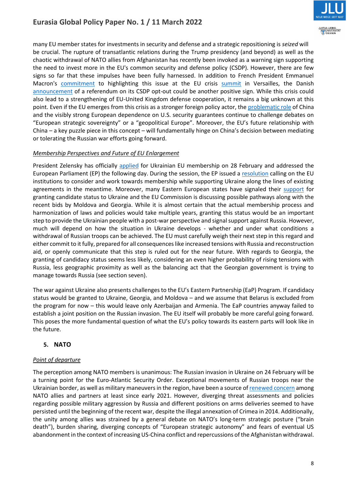

many EU member states for investments in security and defense and a strategic repositioning is *seized* will be crucial. The rupture of transatlantic relations during the Trump presidency (and beyond) as well as the chaotic withdrawal of NATO allies from Afghanistan has recently been invoked as a warning sign supporting the need to invest more in the EU's common security and defense policy (CSDP). However, there are few signs so far that these impulses have been fully harnessed. In addition to French President Emmanuel Macron's [commitment](https://www.euractiv.com/section/politics/short_news/macron-war-in-ukraine-marks-change-of-an-era-for-europe/) to highlighting this issue at the EU crisis [summit](https://www.france24.com/en/live-news/20220310-ukraine-crisis-to-dominate-eu-leaders-versailles-summit) in Versailles, the Danish [announcement](https://www.theguardian.com/world/2022/mar/06/denmark-to-hold-referendum-eu-defence-opt-out) of a referendum on its CSDP opt-out could be another positive sign. While this crisis could also lead to a strengthening of EU-United Kingdom defense cooperation, it remains a big unknown at this point. Even if the EU emerges from this crisis as a stronger foreign policy actor, th[e problematic role](https://www.france24.com/en/asia-pacific/20220301-caught-between-russia-and-the-west-china-faces-ukraine-dilemma) of China and the visibly strong European dependence on U.S. security guarantees continue to challenge debates on "European strategic sovereignty" or a "geopolitical Europe". Moreover, the EU's future relationship with China – a key puzzle piece in this concept – will fundamentally hinge on China's decision between mediating or tolerating the Russian war efforts going forward.

### *Membership Perspectives and Future of EU Enlargement*

President Zelensky has officially [applied](https://www.euractiv.com/section/europe-s-east/news/ukraine-requests-eu-membership-under-fast-track-procedure/) for Ukrainian EU membership on 28 February and addressed the European Parliament (EP) the following day. During the session, the EP issued a [resolution](https://www.europarl.europa.eu/news/en/press-room/20220227IPR24205/invasion-of-ukraine-meps-call-for-tougher-response-to-russia) calling on the EU institutions to consider and work towards membership while supporting Ukraine along the lines of existing agreements in the meantime. Moreover, many Eastern European states have signaled their [support](https://www.euractiv.com/section/europe-s-east/news/ukraine-requests-eu-membership-under-fast-track-procedure/) for granting candidate status to Ukraine and the EU Commission is discussing possible pathways along with the recent bids by Moldova and Georgia. While it is almost certain that the actual membership process and harmonization of laws and policies would take multiple years, granting this status would be an important step to provide the Ukrainian people with a post-war perspective and signal support against Russia. However, much will depend on how the situation in Ukraine develops - whether and under what conditions a withdrawal of Russian troops can be achieved. The EU must carefully weigh their next step in this regard and either commit to it fully, prepared for all consequences like increased tensions with Russia and reconstruction aid, or openly communicate that this step is ruled out for the near future. With regards to Georgia, the granting of candidacy status seems less likely, considering an even higher probability of rising tensions with Russia, less geographic proximity as well as the balancing act that the Georgian government is trying to manage towards Russia (see section seven).

The war against Ukraine also presents challenges to the EU's Eastern Partnership (EaP) Program. If candidacy status would be granted to Ukraine, Georgia, and Moldova – and we assume that Belarus is excluded from the program for now – this would leave only Azerbaijan and Armenia. The EaP countries anyway failed to establish a joint position on the Russian invasion. The EU itself will probably be more careful going forward. This poses the more fundamental question of what the EU's policy towards its eastern parts will look like in the future.

# **5. NATO**

### *Point of departure*

The perception among NATO members is unanimous: The Russian invasion in Ukraine on 24 February will be a turning point for the Euro-Atlantic Security Order. Exceptional movements of Russian troops near the Ukrainian border, as well as military maneuvers in the region, have been a source of [renewed concern](https://www.nato.int/cps/en/natohq/opinions_183016.htm) among NATO allies and partners at least since early 2021. However, diverging threat assessments and policies regarding possible military aggression by Russia and different positions on arms deliveries seemed to have persisted until the beginning of the recent war, despite the illegal annexation of Crimea in 2014. Additionally, the unity among allies was strained by a general debate on NATO's long-term strategic posture ("brain death"), burden sharing, diverging concepts of "European strategic autonomy" and fears of eventual US abandonment in the context of increasing US-China conflict and repercussions of the Afghanistan withdrawal.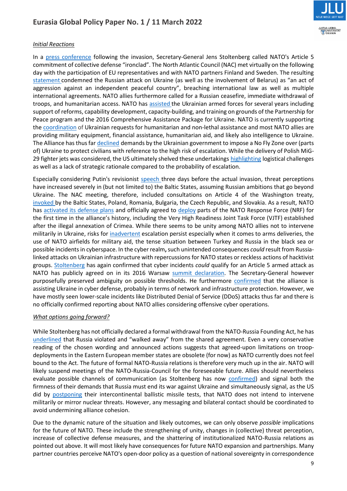

# *Initial Reactions*

In a [press conference](https://www.nato.int/cps/en/natohq/opinions_192408.htm) following the invasion, Secretary-General Jens Stoltenberg called NATO's Article 5 commitment of collective defense "ironclad". The North Atlantic Council (NAC) met virtually on the following day with the participation of EU representatives and with NATO partners Finland and Sweden. The resulting [statement](https://www.nato.int/cps/en/natohq/official_texts_192404.htm?selectedLocale=en) condemned the Russian attack on Ukraine (as well as the involvement of Belarus) as "an act of aggression against an independent peaceful country", breaching international law as well as multiple international agreements. NATO allies furthermore called for a Russian ceasefire, immediate withdrawal of troops, and humanitarian access. NATO has [assisted](https://www.nato.int/cps/en/natohq/topics_37750.htm) the Ukrainian armed forces for several years including support of reforms, capability development, capacity-building, and training on grounds of the Partnership for Peace program and the 2016 Comprehensive Assistance Package for Ukraine. NATO is currently supporting the [coordination](https://www.nato.int/cps/en/natohq/news_192476.htm) of Ukrainian requests for humanitarian and non-lethal assistance and most NATO allies are providing military equipment, financial assistance, humanitarian aid, and likely also intelligence to Ukraine. The Alliance has thus far [declined](https://www.nato.int/cps/en/natohq/opinions_192739.htm) demands by the Ukrainian government to impose a No Fly Zone over (parts of) Ukraine to protect civilians with reference to the high risk of escalation. While the delivery of Polish MiG-29 fighter jets was considered, the US ultimately shelved these undertakings [highlighting](https://www.defense.gov/News/Releases/Release/Article/2960180/statement-by-pentagon-press-secretary-john-f-kirby-on-security-assistance-to-uk/) logistical challenges as well as a lack of strategic rationale compared to the probability of escalation.

Especially considering Putin's revisionist [speech t](https://www.nytimes.com/2022/02/23/world/europe/putin-speech-russia-ukraine.html.)hree days before the actual invasion, threat perceptions have increased severely in (but not limited to) the Baltic States, assuming Russian ambitions that go beyond Ukraine. The NAC meeting, therefore, included consultations on Article 4 of the Washington treaty, [invoked](https://theconversation.com/ukraine-invasion-why-eight-nato-members-triggered-article-4-of-the-north-atlantic-treaty-178054) by the Baltic States, Poland, Romania, Bulgaria, the Czech Republic, and Slovakia. As a result, NATO has [activated its defense plans](https://www.nato.int/cps/en/natohq/opinions_192455.htm) and officially agreed to [deploy](https://shape.nato.int/news-archive/2022/saceur-statement-on-the-activation-of-the-nato-response-force) parts of the NATO Response Force (NRF) for the first time in the alliance's history, including the Very High Readiness Joint Task Force (VJTF) established after the illegal annexation of Crimea. While there seems to be unity among NATO allies not to intervene militarily in Ukraine, risks for [inadvertent](https://thebulletin.org/2022/02/the-pathways-of-inadvertent-escalation-is-a-nato-russia-war-now-possible/) escalation persist especially when it comes to arms deliveries, the use of NATO airfields for military aid, the tense situation between Turkey and Russia in the black sea or possible incidents in cyberspace. In the cyber realm**,**such unintended consequences *could* result from Russialinked attacks on Ukrainian infrastructure with repercussions for NATO states or reckless actions of hacktivist groups. [Stoltenberg](https://www.nato.int/cps/en/natohq/opinions_192455.htm) has again confirmed that cyber incidents *could* qualify for an Article 5 armed attack as NATO has publicly agreed on in its 2016 Warsaw [summit declaration.](https://www.nato.int/cps/en/natohq/official_texts_133169.htm) The Secretary-General however purposefully preserved ambiguity on possible thresholds. He furthermore [confirmed](https://www.nato.int/cps/en/natohq/opinions_192455.htm) that the alliance is assisting Ukraine in cyber defense, probably in terms of network and infrastructure protection. However, we have mostly seen lower-scale incidents like Distributed Denial of Service (DDoS) attacks thus far and there is no officially confirmed reporting about NATO allies considering offensive cyber operations.

# *What options going forward?*

While Stoltenberg has not officially declared a formal withdrawal from the NATO-Russia Founding Act, he has [underlined](https://www.nato.int/cps/en/natohq/opinions_192455.htm) that Russia violated and "walked away" from the shared agreement. Even a very conservative reading of the chosen wording and announced actions suggests that agreed-upon limitations on troopdeployments in the Eastern European member states are obsolete (for now) as NATO currently does not feel bound to the Act. The future of formal NATO-Russia relations is therefore very much up in the air. NATO will likely suspend meetings of the NATO-Russia-Council for the foreseeable future. Allies should nevertheless evaluate possible channels of communication (as Stoltenberg has now [confirmed\)](https://www.nato.int/cps/en/natohq/opinions_192739.htm?selectedLocale=en) and signal both the firmness of their demands that Russia must end its war against Ukraine and simultaneously signal, as the US did by [postponing](https://www.reuters.com/world/us/us-delays-icbm-test-launch-bid-de-escalate-russia-nuclear-tensions-2022-03-02/) their intercontinental ballistic missile tests, that NATO does not intend to intervene militarily or mirror nuclear threats. However, any messaging and bilateral contact should be coordinated to avoid undermining alliance cohesion.

Due to the dynamic nature of the situation and likely outcomes, we can only observe *possible* implications for the future of NATO. These include the strengthening of unity, changes in (collective) threat perception, increase of collective defense measures, and the shattering of institutionalized NATO-Russia relations as pointed out above. It will most likely have consequences for future NATO expansion and partnerships. Many partner countries perceive NATO's open-door policy as a question of national sovereignty in correspondence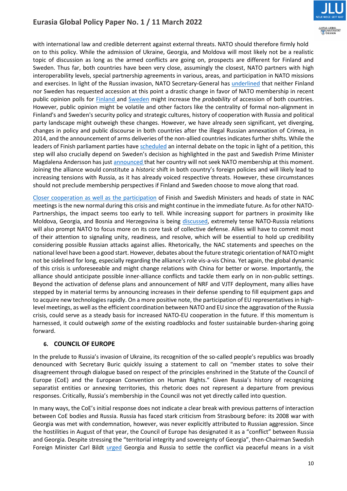

with international law and credible deterrent against external threats. NATO should therefore firmly hold on to this policy. While the admission of Ukraine, Georgia, and Moldova will most likely not be a realistic topic of discussion as long as the armed conflicts are going on, prospects are different for Finland and Sweden. Thus far, both countries have been very close, assumingly the closest, NATO partners with high interoperability levels, special partnership agreements in various, areas, and participation in NATO missions and exercises. In light of the Russian invasion, NATO Secretary-General has [underlined](https://www.nato.int/cps/en/natohq/opinions_192408.htm) that neither Finland nor Sweden has requested accession at this point a drastic change in favor of NATO membership in recent public opinion polls for [Finland a](https://yle.fi/uutiset/3-12336530)nd [Sweden](https://www.aftonbladet.se/nyheter/a/RrBKv5/for-forsta-gangen-vill-en-majoritet-av-svenskarna-att-vi-gar-med-i-nato) might increase the *probability* of accession of both countries. However, public opinion might be volatile and other factors like the centrality of formal non-alignment in Finland's and Sweden's security policy and strategic cultures, history of cooperation with Russia and political party landscape might outweigh these changes. However, we have already seen significant, yet diverging, changes in policy and public discourse in both countries after the illegal Russian annexation of Crimea, in 2014, and the announcement of arms deliveries of the non-allied countries indicates further shifts. While the leaders of Finish parliament parties hav[e scheduled](https://www.politico.eu/article/finland-nato-membership-sanna-marin-ukraine-russia/) an internal debate on the topic in light of a petition, this step will also crucially depend on Sweden's decision as highlighted in the past and Swedish Prime Minister Magdalena Andersson has just [announced t](https://www.reuters.com/world/europe/applying-join-nato-would-destabilize-security-situation-swedish-pm-says-2022-03-08/)hat her country will not seek NATO membership at this moment. Joining the alliance would constitute a *historic* shift in both country's foreign policies and will likely lead to increasing tensions with Russia, as it has already voiced respective threats. However, these circumstances should not preclude membership perspectives if Finland and Sweden choose to move along that road.

[Closer cooperation as well as the participation](https://www.nato.int/cps/en/natohq/opinions_192739.htm?selectedLocale=en) of Finish and Swedish Ministers and heads of state in NAC meetings is the new normal during this crisis and might continue in the immediate future. As for other NATO-Partnerships, the impact seems too early to tell. While increasing support for partners in proximity like Moldova, Georgia, and Bosnia and Herzegovina is being [discussed,](https://www.nato.int/cps/en/natohq/opinions_192739.htm?selectedLocale=en) extremely tense NATO-Russia relations will also prompt NATO to focus more on its core task of collective defense. Allies will have to commit most of their attention to signaling unity, readiness, and resolve, which will be essential to hold up credibility considering possible Russian attacks against allies. Rhetorically, the NAC statements and speeches on the national level have been a good start. However, debates about the future strategic orientation of NATO might not be sidelined for long, especially regarding the alliance's role vis-a-vis China. Yet again, the global dynamic of this crisis is unforeseeable and might change relations with China for better or worse. Importantly, the alliance should anticipate possible inner-alliance conflicts and tackle them early on in non-public settings. Beyond the activation of defense plans and announcement of NRF and VJTF deployment, many allies have stepped by in material terms by announcing increases in their defense spending to fill equipment gaps and to acquire new technologies rapidly. On a more positive note, the participation of EU representatives in highlevel meetings, as well as the efficient coordination between NATO and EU since the aggravation of the Russia crisis, could serve as a steady basis for increased NATO-EU cooperation in the future. If this momentum is harnessed, it could outweigh *some* of the existing roadblocks and foster sustainable burden-sharing going forward.

# **6. COUNCIL OF EUROPE**

In the prelude to Russia's invasion of Ukraine, its recognition of the so-called people's republics was broadly denounced with Secretary Buric quickly issuing a statement to call on "member states to solve their disagreement through dialogue based on respect of the principles enshrined in the Statute of the Council of Europe (CoE) and the European Convention on Human Rights." Given Russia's history of recognizing separatist entities or annexing territories, this rhetoric does not represent a departure from previous responses. Critically, Russia's membership in the Council was not yet directly called into question.

In many ways, the CoE's initial response does not indicate a clear break with previous patterns of interaction between CoE bodies and Russia. Russia has faced stark criticism from Strasbourg before: its 2008 war with Georgia was met with condemnation, however, was never explicitly attributed to Russian aggression. Since the hostilities in August of that year, the Council of Europe has designated it as a "conflict" between Russia and Georgia. Despite stressing the "territorial integrity and sovereignty of Georgia", then-Chairman Swedish Foreign Minister Carl Bildt [urged](https://rm.coe.int/09000016805d2fb9) Georgia and Russia to settle the conflict via peaceful means in a visit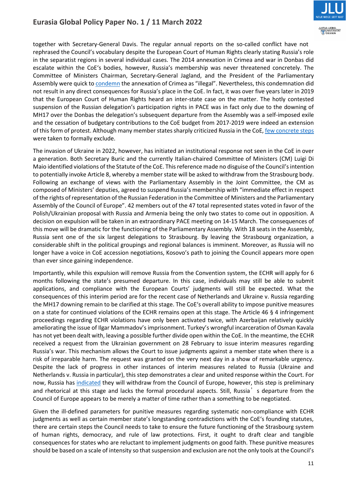

together with Secretary-General Davis. The regular annual reports on the so-called conflict have not rephrased the Council's vocabulary despite the European Court of Human Rights clearly stating Russia's role in the separatist regions in several individual cases. The 2014 annexation in Crimea and war in Donbas did escalate within the CoE's bodies, however, Russia's membership was never threatened concretely. The Committee of Ministers Chairman, Secretary-General Jagland, and the President of the Parliamentary Assembly were quick to [condemn](https://rm.coe.int/090000168071db5b) the annexation of Crimea as "illegal". Nevertheless, this condemnation did not result in any direct consequences for Russia's place in the CoE. In fact, it was over five years later in 2019 that the European Court of Human Rights heard an inter-state case on the matter. The hotly contested suspension of the Russian delegation's participation rights in PACE was in fact only due to the downing of MH17 over the Donbas the delegation's subsequent departure from the Assembly was a self-imposed exile and the cessation of budgetary contributions to the CoE budget from 2017-2019 were indeed an extension of this form of protest. Although many member states sharply criticized Russia in the CoE[, few concrete steps](https://www.themoscowtimes.com/2019/06/26/russia-returns-to-european-rights-body-after-5-year-suspension-a66176.) were taken to formally exclude.

The invasion of Ukraine in 2022, however, has initiated an institutional response not seen in the CoE in over a generation. Both Secretary Buric and the currently Italian-chaired Committee of Ministers (CM) Luigi Di Maio identified violations of the Statute of the CoE. This reference made no disguise of the Council's intention to potentially invoke Article 8, whereby a member state will be asked to withdraw from the Strasbourg body. Following an exchange of views with the Parliamentary Assembly in the Joint Committee, the CM as composed of Ministers' deputies, [agreed to](https://www.coe.int/en/web/portal/-/council-of-europe-leaders-make-joint-statement-on-the-aggression-of-the-russian-federation-against-ukraine) suspend Russia's membership with "immediate effect in respect of the rights of representation of the Russian Federation in the Committee of Ministers and the Parliamentary Assembly of the Council of Europe". 42 members out of the 47 total represented states [voted i](https://oc-media.org/armenia-stands-alone-in-support-for-russia-in-council-of-europe/)n favor of the Polish/Ukrainian proposal with Russia and Armenia being the only two states to come out in opposition. A decision on expulsion will be taken in an extraordinary PACE meeting on 14-15 March. The consequences of this move will be dramatic for the functioning of the Parliamentary Assembly. With 18 seats in the Assembly, Russia sent one of the six largest delegations to Strasbourg. By leaving the Strasbourg organization, a considerable shift in the political groupings and regional balances is imminent. Moreover, as Russia will no longer have a voice in CoE accession negotiations, Kosovo's path to joining the Council appears [more open](https://brill.com/view/journals/rela/43/3/article-p255_255.xml?language=en) than ever since gaining independence.

Importantly, while this expulsion will remove Russia from the Convention system, the ECHR will apply for 6 months following the state's presumed departure. In this case, individuals may still be able to submit applications, and compliance with the European Courts' judgments will still be expected. What the consequences of this interim period are for the recent case of Netherlands and Ukraine v. Russia regarding the MH17 downing remain to be clarified at this stage. The CoE's overall ability to impose punitive measures on a state for continued violations of the ECHR remains open at this stage. The Article 46 § 4 infringement proceedings regarding ECHR violations have only been activated twice, with Azerbaijan relatively quickly ameliorating the issue of Ilgar Mammadov's imprisonment. Turkey's wrongful incarceration of Osman Kavala has not yet been dealt with, leaving a possible further divide open within the CoE. In the meantime, the ECHR received a request from the Ukrainian government on 28 February to issue interim measures regarding Russia's war. This mechanism allows the Court to issue judgments against a member state when there is a risk of irreparable harm. The request was granted on the very next day in a show of remarkable urgency. Despite the lack of progress in other instances of interim measures related to Russia (Ukraine and Netherlands v. Russia in particular), this step demonstrates a clear and united response within the Court. For now, Russia has [indicated](https://www.echrblog.com/2022/03/russia-will-no-longer-participate-in.html) they will withdraw from the Council of Europe, however, this step is preliminary and rhetorical at this stage and lacks the formal procedural aspects. Still, Russia<sup>'</sup>s departure from the Council of Europe appears to be merely a matter of time rather than a something to be negotiated.

Given the ill-defined parameters for punitive measures regarding systematic non-compliance with ECHR judgments as well as certain member state's longstanding contradictions with the CoE's founding statutes, there are certain steps the Council needs to take to ensure the future functioning of the Strasbourg system of human rights, democracy, and rule of law protections. First, it ought to draft clear and tangible consequences for states who are reluctant to implement judgments on good faith. These punitive measures should be based on a scale of intensity so that suspension and exclusion are not the only tools at the Council's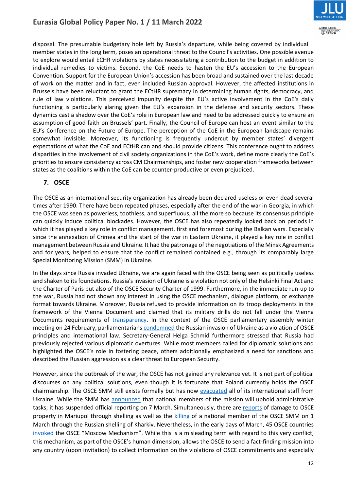

disposal. The presumable budgetary hole left by Russia's departure, while being covered by individual member states in the long term, poses an operational threat to the Council's activities. One possible avenue to explore would entail ECHR violations by states necessitating a contribution to the budget in addition to individual remedies to victims. Second, the CoE needs to hasten the EU's accession to the European Convention. Support for the European Union's accession has been broad and sustained over the last decade of work on the matter and in fact, even included Russian approval. However, the affected institutions in Brussels have been reluctant to grant the ECtHR supremacy in determining human rights, democracy, and rule of law violations. This perceived impunity despite the EU's active involvement in the CoE's daily functioning is particularly glaring given the EU's expansion in the defense and security sectors. These dynamics cast a shadow over the CoE's role in European law and need to be addressed quickly to ensure an assumption of good faith on Brussels' part. Finally, the Council of Europe can host an event similar to the EU's Conference on the Future of Europe. The perception of the CoE in the European landscape remains somewhat invisible. Moreover, its functioning is frequently undercut by member states' divergent expectations of what the CoE and ECtHR can and should provide citizens. This conference ought to address disparities in the involvement of civil society organizations in the CoE's work, define more clearly the CoE's priorities to ensure consistency across CM Chairmanships, and foster new cooperation frameworks between states as the coalitions within the CoE can be counter-productive or even prejudiced.

# **7. OSCE**

The OSCE as an international security organization has already been declared useless or even dead several times after 1990. There have been repeated phases, especially after the end of the war in Georgia, in which the OSCE was seen as powerless, toothless, and superfluous, all the more so because its consensus principle can quickly induce political blockades. However, the OSCE has also repeatedly looked back on periods in which it has played a key role in conflict management, first and foremost during the Balkan wars. Especially since the annexation of Crimea and the start of the war in Eastern Ukraine, it played a key role in conflict management between Russia and Ukraine. It had the patronage of the negotiations of the Minsk Agreements and for years, helped to ensure that the conflict remained contained e.g., through its comparably large Special Monitoring Mission (SMM) in Ukraine.

In the days since Russia invaded Ukraine, we are again faced with the OSCE being seen as politically useless and shaken to its foundations. Russia's invasion of Ukraine is a violation not only of the Helsinki Final Act and the Charter of Paris but also of the OSCE Security Charter of 1999. Furthermore, in the immediate run-up to the war, Russia had not shown any interest in using the OSCE mechanism, dialogue platform, or exchange format towards Ukraine. Moreover, Russia refused to provide information on its troop deployments in the framework of the Vienna Document and claimed that its military drills do not fall under the Vienna Documents requirements of [transparency.](https://nationalinterest.org/blog/buzz/russia-claims-its-military-drills-dont-violate-vienna-document-200480) In the context of the OSCE parliamentary assembly winter meeting on 24 February, parliamentarian[s condemned](https://www.osce.org/parliamentary-assembly/512938) the Russian invasion of Ukraine as a violation of OSCE principles and international law. Secretary-General Helga Schmid furthermore stressed that Russia had previously rejected various diplomatic overtures. While most members called for diplomatic solutions and highlighted the OSCE's role in fostering peace, others additionally emphasized a need for sanctions and described the Russian aggression as a clear threat to European Security.

However, since the outbreak of the war, the OSCE has not gained any relevance yet. It is not part of political discourses on any political solutions, even though it is fortunate that Poland currently holds the OSCE chairmanship. The OSCE SMM still exists formally but has now [evacuated](https://www.reuters.com/world/osce-says-it-has-evacuated-its-international-staff-ukraine-2022-03-07/) all of its international staff from Ukraine. While the SMM has [announced](https://www.osce.org/special-monitoring-mission-to-ukraine/513424) that national members of the mission will uphold administrative tasks; it has suspended official reporting on 7 March. Simultaneously, there are [reports](https://www.osce.org/special-monitoring-mission-to-ukraine/513385) of damage to OSCE property in Mariupol through shelling as well as the [killing](https://www.osce.org/chairmanship/513280) of a national member of the OSCE SMM on 1 March through the Russian shelling of Kharkiv. Nevertheless, in the early days of March, 45 OSCE countries [invoked](https://www.state.gov/moscow-mechanism-invoked-by-45-osce-states-to-review-reported-abuses-by-russia/) the OSCE "Moscow Mechanism". While this is a misleading term with regard to this very conflict, this mechanism, as part of the OSCE's human dimension, allows the OSCE to send a fact-finding mission into any country (upon invitation) to collect information on the violations of OSCE commitments and especially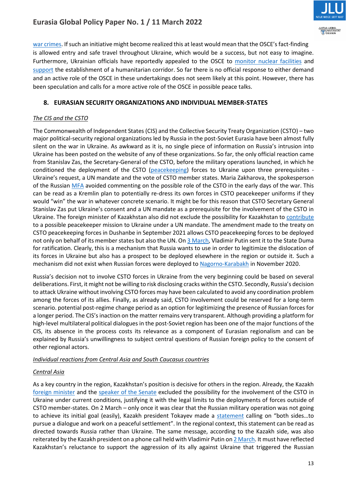

[war crimes](https://www.international.gc.ca/news-nouvelles/2022/2022-03-03-statement_humanitarian_kinnear-declaration_humanitaires.aspx?lang=eng). If such an initiative might become realized this at least would mean that the OSCE's fact-finding is allowed entry and safe travel throughout Ukraine, which would be a success, but not easy to imagine. Furthermore, Ukrainian officials have reportedly appealed to the OSCE to [monitor nuclear facilities](https://ua.interfax.com.ua/news/general/808188.html) and [support](https://www.reuters.com/world/europe/ukraine-presidential-adviser-urges-humanitarian-corridors-osce-help-2022-03-03/) the establishment of a humanitarian corridor. So far there is no official response to either demand and an active role of the OSCE in these undertakings does not seem likely at this point. However, there has been speculation and calls for a more active role of the OSCE in possible peace talks.

# **8. EURASIAN SECURITY ORGANIZATIONS AND INDIVIDUAL MEMBER-STATES**

### *The CIS and the CSTO*

The Commonwealth of Independent States (CIS) and the Collective Security Treaty Organization (CSTO) – two major political-security regional organizations led by Russia in the post-Soviet Eurasia have been almost fully silent on the war in Ukraine. As awkward as it is, no single piece of information on Russia's intrusion into Ukraine has been posted on the website of any of these organizations. So far, the only official reaction came from Stanislav Zas, the Secretary-General of the CSTO, before the military operations launched, in which he conditioned the deployment of the CSTO [\(peacekeeping\)](https://www.euronews.com/2022/02/20/us-ukraine-crisis-russia-csto-exclusive) forces to Ukraine upon three prerequisites - Ukraine's request, a UN mandate and the vote of CSTO member states. Maria Zakharova, the spokesperson of the Russian [MFA](https://www.reporter.am/is-the-possibility-of-using-csto-mechanisms-in-ukraine-possible-morning/) avoided commenting on the possible role of the CSTO in the early days of the war. This can be read as a Kremlin plan to potentially re-dress its own forces in CSTO peacekeeper uniforms if they would "win" the war in whatever concrete scenario. It might be for this reason that CSTO Secretary General Stanislav Zas put Ukraine's consent and a UN mandate as a prerequisite for the involvement of the CSTO in Ukraine. The foreign minister of Kazakhstan also did not exclude the possibility for Kazakhstan t[o contribute](https://rus.azattyq.org/a/31715818.html) to a possible peacekeeper mission to Ukraine under a UN mandate. The amendment made to the treaty on CSTO peacekeeping forces in Dushanbe in September 2021 allows CSTO peacekeeping forces to be deployed not only on behalf of its member states but also the UN. O[n 3 March,](https://www.kommersant.ru/doc/5239745) Vladimir Putin sent it to the State Duma for ratification. Clearly, this is a mechanism that Russia wants to use in order to legitimize the dislocation of its forces in Ukraine but also has a prospect to be deployed elsewhere in the region or outside it. Such a mechanism did not exist when Russian forces were deployed to [Nagorno-Karabakh](https://www.reuters.com/article/us-armenia-azerbaijan-idCAKBN27Q06G) in November 2020.

Russia's decision not to involve CSTO forces in Ukraine from the very beginning could be based on several deliberations. First, it might not be willing to risk disclosing cracks within the CSTO. Secondly, Russia's decision to attack Ukraine without involving CSTO forces may have been calculated to avoid any coordination problem among the forces of its allies. Finally, as already said, CSTO involvement could be reserved for a long-term scenario. potential post-regime change period as an option for legitimizing the presence of Russian forces for a longer period. The CIS's inaction on the matter remains very transparent. Although providing a platform for high-level multilateral political dialogues in the post-Soviet region has been one of the major functions of the CIS, its absence in the process costs its relevance as a component of Eurasian regionalism and can be explained by Russia's unwillingness to subject central questions of Russian foreign policy to the consent of other regional actors.

### *Individual reactions from Central Asia and South Caucasus countries*

# *Central Asia*

As a key country in the region, Kazakhstan's position is decisive for others in the region. Already, the Kazakh [foreign minister](https://rus.azattyq.org/a/31715818.html) and the [speaker of the Senate](https://ru.sputnik.kz/20220224/voyska-odkb-ne-budut-zadeystvovany-v-vooruzhennom-konflikte-rf-i-ukrainy--spiker-senata-23050866.html) excluded the possibility for the involvement of the CSTO in Ukraine under current conditions, justifying it with the legal limits to the deployments of forces outside of CSTO member-states. On 2 March – only once it was clear that the Russian military operation was not going to achieve its initial goal (easily), Kazakh president Tokayev made a [statement](https://twitter.com/TokayevKZ/status/1498667029301239809) calling on "both sides...to pursue a dialogue and work on a peaceful settlement". In the regional context, this statement can be read as directed towards Russia rather than Ukraine. The same message, according to the Kazakh side, was also reiterated by the Kazakh president on a phone call held with Vladimir Putin o[n 2 March.](https://www.inform.kz/en/kassym-jomart-tokayev-and-vladimir-putin-talked-over-phone_a3906501) It must have reflected Kazakhstan's reluctance to support the aggression of its ally against Ukraine that triggered the Russian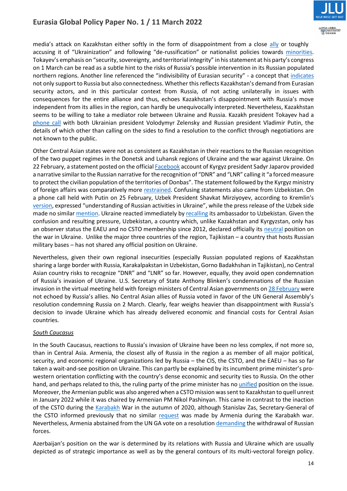

media's attack on Kazakhstan either softly in the form of disappointment from a close [ally](https://novayagazeta.ru/articles/2022/02/26/chto-dumaiut-soiuzniki) or toughly accusing it of "Ukrainization" and following "de-russification" or nationalist policies towards [minorities.](https://regnum.ru/news/3519872.html) Tokayev's emphasis on "security, sovereignty, and territorial integrity" in his statement at his party's congress on 1 March can be read as a subtle hint to the risks of Russia's possible intervention in its Russian populated northern regions. Another line referenced the "indivisibility of Eurasian security" - a concept that [indicates](https://astanatimes.com/2022/03/president-tokayev-participates-in-extraordinary-congress-of-amanat-party-urges-russia-and-ukraine-to-reach-agreement/) not only support to Russia but also connectedness. Whether this reflects Kazakhstan's demand from Eurasian security actors, and in this particular context from Russia, of not acting unilaterally in issues with consequences for the entire alliance and thus, echoes Kazakhstan's disappointment with Russia's move independent from its allies in the region, can hardly be unequivocally interpreted. Nevertheless, Kazakhstan seems to be willing to take a mediator role between Ukraine and Russia. Kazakh president Tokayev had a [phone call](https://www.inform.kz/en/president-tokayev-shares-details-of-telephone-talks-with-presidents-of-russia-and-ukraine_a3906830) with both Ukrainian president Volodymyr Zelensky and Russian president Vladimir Putin, the details of which other than calling on the sides to find a resolution to the conflict through negotiations are not known to the public.

Other Central Asian states were not as consistent as Kazakhstan in their reactions to the Russian recognition of the two puppet regimes in the Donetsk and Luhansk regions of Ukraine and the war against Ukraine. On 22 February, a statement posted on the officia[l Facebook](https://www.facebook.com/japarov.sadyr/posts/2071368826371369) account of Kyrgyz president Sadyr Japarov provided a narrative similar to the Russian narrative for the recognition of "DNR" and "LNR" calling it "a forced measure to protect the civilian population of the territories of Donbas". The statement followed by the Kyrgyz ministry of foreign affairs was comparatively more [restrained.](https://mfa.gov.kg/ru/osnovnoe-menyu/press-sluzhba/novosti/zayavlenie-ministerstva-inostrannyh-del-kyrgyzskoy-respubliki-) Confusing statements also came from Uzbekistan. On a phone call held with Putin on 25 February, Uzbek President Shavkat Mirziyoyev, according to Kremlin's [version](http://kremlin.ru/events/president/news/67857), expressed "understanding of Russian activities in Ukraine", while the press release of the Uzbek side made no simila[r mention.](https://president.uz/ru/lists/view/5011) Ukraine reacted immediately by [recalling](https://apa.az/az/mdb-olkeleri/ukrayna-gurcustan-ve-qirgizistandaki-sefirlerini-geri-cagirib-689826) its ambassador to Uzbekistan. Given the confusion and resulting pressure, Uzbekistan, a country which, unlike Kazakhstan and Kyrgyzstan, only has an observer status the EAEU and no CSTO membership since 2012, declared officially its [neutral](https://eurasianet.org/russia-attempts-to-contrive-appearance-of-support-from-central-asian-allies) position on the war in Ukraine. Unlike the major three countries of the region, Tajikistan – a country that hosts Russian military bases – has not shared any official position on Ukraine.

Nevertheless, given their own regional insecurities (especially Russian populated regions of Kazakhstan sharing a large border with Russia, Karakalpakstan in Uzbekistan, Gorno Badakhshan in Tajikistan), no Central Asian country risks to recognize "DNR" and "LNR" so far. However, equally, they avoid open condemnation of Russia's invasion of Ukraine. U.S. Secretary of State Anthony Blinken's condemnations of the Russian invasion in the virtual meeting held with foreign ministers of Central Asian governments o[n 28 February](https://www.voanews.com/a/central-asian-states-tread-cautiously-on-russia-s-war-in-ukraine/6465144.html) were not echoed by Russia's allies. No Central Asian allies of Russia voted in favor of the UN General Assembly's resolution condemning Russia on 2 March. Clearly, fear weighs heavier than disappointment with Russia's decision to invade Ukraine which has already delivered economic and financial costs for Central Asian countries.

### *South Caucasus*

In the South Caucasus, reactions to Russia's invasion of Ukraine have been no less complex, if not more so, than in Central Asia. Armenia, the closest ally of Russia in the region a as member of all major political, security, and economic regional organizations led by Russia – the CIS, the CSTO, and the EAEU – has so far taken a wait-and-see position on Ukraine. This can partly be explained by its incumbent prime minister's prowestern orientation conflicting with the country's dense economic and security ties to Russia. On the other hand, and perhaps related to this, the ruling party of the prime minister has no [unified](https://iwpr.net/global-voices/ukraine-crisis-proves-tense-armenia) position on the issue. Moreover, the Armenian public was also angered when a CSTO mission was sent to Kazakhstan to quell unrest in January 2022 while it was chaired by Armenian PM Nikol Pashinyan. This came in contrast to the inaction of the CSTO during the [Karabakh](https://iwpr.net/global-voices/armenia-questions-csto-role) War in the autumn of 2020, although Stanislav Zas, Secretary-General of the CSTO informed previously that no similar [request](https://mirrorspectator.com/2021/02/04/armenia-did-not-ask-csto-to-help-resolve-conflict-in-karabakh/) was made by Armenia during the Karabakh war. Nevertheless, Armenia abstained from the UN GA vote on a resolution [demanding](https://www.civilnet.am/en/news/652561/armenia-abstains-from-un-resolution-calling-for-russias-withdrawal-from-ukraine/) the withdrawal of Russian forces.

Azerbaijan's position on the war is determined by its relations with Russia and Ukraine which are usually depicted as of strategic importance as well as by the general contours of its multi-vectoral foreign policy.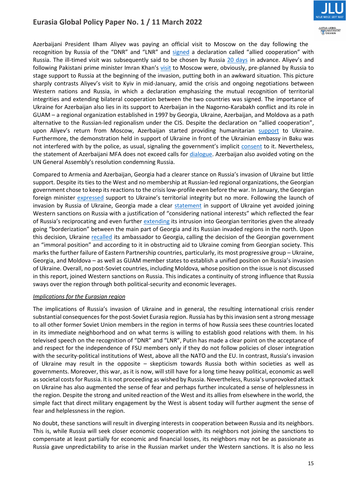

Azerbaijani President Ilham Aliyev was paying an official visit to Moscow on the day following the recognition by Russia of the "DNR" and "LNR" and [signed](https://www.azernews.az/nation/189727.html) a declaration called "allied cooperation" with Russia. The ill-timed visit was subsequently said to be chosen by Russia [20 days](https://www.youtube.com/watch?v=3RfJFJKwVSs) in advance. Aliyev's and following Pakistani prime minister Imran Khan's [visit](https://gandhara.rferl.org/a/pakistan-khan-moscow-visit-ukraine/31723286.html) to Moscow were, obviously, pre-planned by Russia to stage support to Russia at the beginning of the invasion, putting both in an awkward situation. This picture sharply contrasts Aliyev's visit to Kyiv in mid-January, amid the crisis and ongoing negotiations between Western nations and Russia, in which a declaration emphasizing the mutual recognition of territorial integrities and extending bilateral cooperation between the two countries was signed. The importance of Ukraine for Azerbaijan also lies in its support to Azerbaijan in the Nagorno-Karabakh conflict and its role in GUAM – a regional organization established in 1997 by Georgia, Ukraine, Azerbaijan, and Moldova as a path alternative to the Russian-led regionalism under the CIS. Despite the declaration on "allied cooperation", upon Aliyev's return from Moscow, Azerbaijan started providing humanitarian [support](https://azerfocus.com/azerbaijani-humanitarian-aid-to-ukraine/) to Ukraine. Furthermore, the demonstration held in support of Ukraine in front of the Ukrainian embassy in Baku was not interfered with by the police, as usual, signaling the government's implicit [consent](https://www.rferl.org/a/azerbaijan-support-for-ukraine/31728500.html) to it. Nevertheless, the statement of Azerbaijani MFA does not exceed calls for [dialogue.](https://www.yenisafak.com/en/world/azerbaijan-reiterates-call-for-dialogue-between-russia-ukraine-3590639) Azerbaijan also avoided voting on the UN General Assembly's resolution condemning Russia.

Compared to Armenia and Azerbaijan, Georgia had a clearer stance on Russia's invasion of Ukraine but little support. Despite its ties to the West and no membership at Russian-led regional organizations, the Georgian government chose to keep its reactions to the crisis low-profile even before the war. In January, the Georgian foreign minister [expressed](https://eurasianet.org/georgia-laying-low-amid-ukraine-tension) support to Ukraine's territorial integrity but no more. Following the launch of invasion by Russia of Ukraine, Georgia made a clear [statement](https://civil.ge/archives/474708) in support of Ukraine yet avoided joining Western sanctions on Russia with a justification of "considering national interests" which reflected the fear of Russia's reciprocating and even further [extending](https://www.republicworld.com/world-news/russia-ukraine-crisis/russia-ukraine-war-georgia-will-not-partake-in-intl-sanctions-against-moscow-avers-pm-articleshow.html) its intrusion into Georgian territories given the already going "borderization" between the main part of Georgia and its Russian invaded regions in the north. Upon this decision, Ukraine [recalled](https://jam-news.net/ukraine-recalls-ambassador-to-georgia-amid-immoral-position-of-georgian-authorities/) its ambassador to Georgia, calling the decision of the Georgian government an "immoral position" and according to it in obstructing aid to Ukraine coming from Georgian society. This marks the further failure of Eastern Partnership countries, particularly, its most progressive group – Ukraine, Georgia, and Moldova – as well as GUAM member states to establish a unified position on Russia's invasion of Ukraine. Overall, no post-Soviet countries, including Moldova, whose position on the issue is not discussed in this report, joined Western sanctions on Russia. This indicates a continuity of strong influence that Russia sways over the region through both political-security and economic leverages.

### *Implications for the Eurasian region*

The implications of Russia's invasion of Ukraine and in general, the resulting international crisis render substantial consequences for the post-Soviet Eurasia region. Russia has by this invasion sent a strong message to all other former Soviet Union members in the region in terms of how Russia sees these countries located in its immediate neighborhood and on what terms is willing to establish good relations with them. In his televised speech on the recognition of "DNR" and "LNR", Putin has made a clear point on the acceptance of and respect for the independence of FSU members only if they do not follow policies of closer integration with the security-political institutions of West, above all the NATO and the EU. In contrast, Russia's invasion of Ukraine may result in the opposite – skepticism towards Russia both within societies as well as governments. Moreover, this war, as it is now, will still have for a long time heavy political, economic as well as societal costs for Russia. It is not proceeding as wished by Russia. Nevertheless, Russia's unprovoked attack on Ukraine has also augmented the sense of fear and perhaps further inculcated a sense of helplessness in the region. Despite the strong and united reaction of the West and its allies from elsewhere in the world, the simple fact that direct military engagement by the West is absent today will further augment the sense of fear and helplessness in the region.

No doubt, these sanctions will result in diverging interests in cooperation between Russia and its neighbors. This is, while Russia will seek closer economic cooperation with its neighbors not joining the sanctions to compensate at least partially for economic and financial losses, its neighbors may not be as passionate as Russia gave unpredictability to arise in the Russian market under the Western sanctions. It is also no less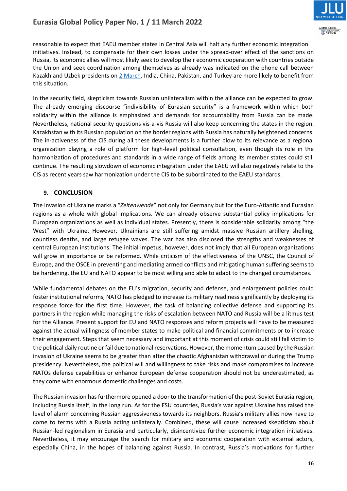

reasonable to expect that EAEU member states in Central Asia will halt any further economic integration initiatives. Instead, to compensate for their own losses under the spread-over effect of the sanctions on Russia, its economic allies will most likely seek to develop their economic cooperation with countries outside the Union and seek coordination among themselves as already was indicated on the phone call between Kazakh and Uzbek presidents on [2 March.](https://www.inform.kz/en/kazakh-and-uzbek-presidents-talked-over-phone_a3906964) India, China, Pakistan, and Turkey are more likely to benefit from this situation.

In the security field, skepticism towards Russian unilateralism within the alliance can be expected to grow. The already emerging discourse "indivisibility of Eurasian security" is a framework within which both solidarity within the alliance is emphasized and demands for accountability from Russia can be made. Nevertheless, national security questions vis-a-vis Russia will also keep concerning the states in the region. Kazakhstan with its Russian population on the border regions with Russia has naturally heightened concerns. The in-activeness of the CIS during all these developments is a further blow to its relevance as a regional organization playing a role of platform for high-level political consultation, even though its role in the harmonization of procedures and standards in a wide range of fields among its member states could still continue. The resulting slowdown of economic integration under the EAEU will also negatively relate to the CIS as recent years saw harmonization under the CIS to be subordinated to the EAEU standards.

# **9. CONCLUSION**

The invasion of Ukraine marks a "*Zeitenwende*" not only for Germany but for the Euro-Atlantic and Eurasian regions as a whole with global implications. We can already observe substantial policy implications for European organizations as well as individual states. Presently, there is considerable solidarity among "the West" with Ukraine. However, Ukrainians are still suffering amidst massive Russian artillery shelling, countless deaths, and large refugee waves. The war has also disclosed the strengths and weaknesses of central European institutions. The initial impetus, however, does not imply that all European organizations will grow in importance or be reformed. While criticism of the effectiveness of the UNSC, the Council of Europe, and the OSCE in preventing and mediating armed conflicts and mitigating human suffering seems to be hardening, the EU and NATO appear to be most willing and able to adapt to the changed circumstances.

While fundamental debates on the EU's migration, security and defense, and enlargement policies could foster institutional reforms, NATO has pledged to increase its military readiness significantly by deploying its response force for the first time. However, the task of balancing collective defense and supporting its partners in the region while managing the risks of escalation between NATO and Russia will be a litmus test for the Alliance. Present support for EU and NATO responses and reform projects will have to be measured against the actual willingness of member states to make political and financial commitments or to increase their engagement. Steps that seem necessary and important at this moment of crisis could still fall victim to the political daily routine or fail due to national reservations. However, the momentum caused by the Russian invasion of Ukraine seems to be greater than after the chaotic Afghanistan withdrawal or during the Trump presidency. Nevertheless, the political will and willingness to take risks and make compromises to increase NATOs defense capabilities or enhance European defense cooperation should not be underestimated, as they come with enormous domestic challenges and costs.

The Russian invasion has furthermore opened a door to the transformation of the post-Soviet Eurasia region, including Russia itself, in the long run. As for the FSU countries, Russia's war against Ukraine has raised the level of alarm concerning Russian aggressiveness towards its neighbors. Russia's military allies now have to come to terms with a Russia acting unilaterally. Combined, these will cause increased skepticism about Russian-led regionalism in Eurasia and particularly, disincentivize further economic integration initiatives. Nevertheless, it may encourage the search for military and economic cooperation with external actors, especially China, in the hopes of balancing against Russia. In contrast, Russia's motivations for further